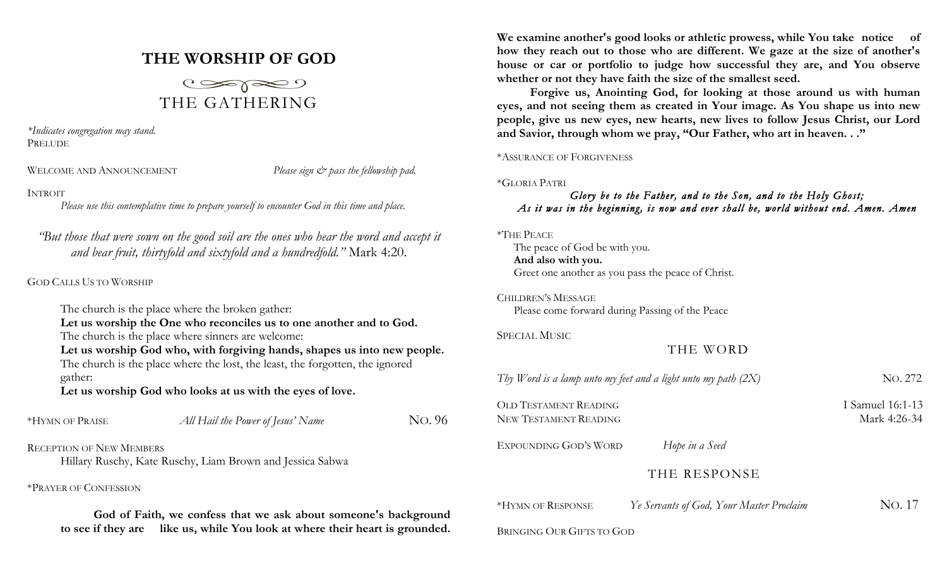# **THE WORSHIP OF GOD**



*\*Indicates congregation may stand.* PRELUDE

WELCOME AND ANNOUNCEMENT *Please sign*  $\breve{c}$  *pass the fellowship pad.* 

## INTROIT

*Please use this contemplative time to prepare yourself to encounter God in this time and place.*

*"But those that were sown on the good soil are the ones who hear the word and accept it and bear fruit, thirtyfold and sixtyfold and a hundredfold."* Mark 4:20.

GOD CALLS US TO WORSHIP

The church is the place where the broken gather: **Let us worship the One who reconciles us to one another and to God.** The church is the place where sinners are welcome: **Let us worship God who, with forgiving hands, shapes us into new people.** The church is the place where the lost, the least, the forgotten, the ignored gather: **Let us worship God who looks at us with the eyes of love.** \*HYMN OF PRAISE *All Hail the Power of Jesus' Name* NO. 96 RECEPTION OF NEW MEMBERS Hillary Ruschy, Kate Ruschy, Liam Brown and Jessica Sabwa \*PRAYER OF CONFESSION

**God of Faith, we confess that we ask about someone's background to see if they are like us, while You look at where their heart is grounded.** 

**We examine another's good looks or athletic prowess, while You take notice of how they reach out to those who are different. We gaze at the size of another's house or car or portfolio to judge how successful they are, and You observe whether or not they have faith the size of the smallest seed.**

**Forgive us, Anointing God, for looking at those around us with human eyes, and not seeing them as created in Your image. As You shape us into new people, give us new eyes, new hearts, new lives to follow Jesus Christ, our Lord and Savior, through whom we pray, "Our Father, who art in heaven. . ."**

## \*ASSURANCE OF FORGIVENESS

\*GLORIA PATRI

# *Glory be to the Father, and to the Son, and to the Holy Ghost; As it was in the beginning, is now and ever shall be, world without end. Amen. Amen*

## \*THE PEACE

The peace of God be with you. **And also with you.** Greet one another as you pass the peace of Christ.

CHILDREN'S MESSAGE Please come forward during Passing of the Peace

SPECIAL MUSIC

THE WORD

| Thy Word is a lamp unto my feet and a light unto my path $(2X)$ |                                          | No. 272                          |
|-----------------------------------------------------------------|------------------------------------------|----------------------------------|
| OLD TESTAMENT READING<br>NEW TESTAMENT READING                  |                                          | I Samuel 16:1-13<br>Mark 4:26-34 |
| EXPOUNDING GOD'S WORD                                           | Hope in a Seed                           |                                  |
|                                                                 | THE RESPONSE                             |                                  |
| *HYMN OF RESPONSE                                               | Ye Servants of God, Your Master Proclaim | No. 17                           |
| BRINGING OUR GIFTS TO GOD                                       |                                          |                                  |